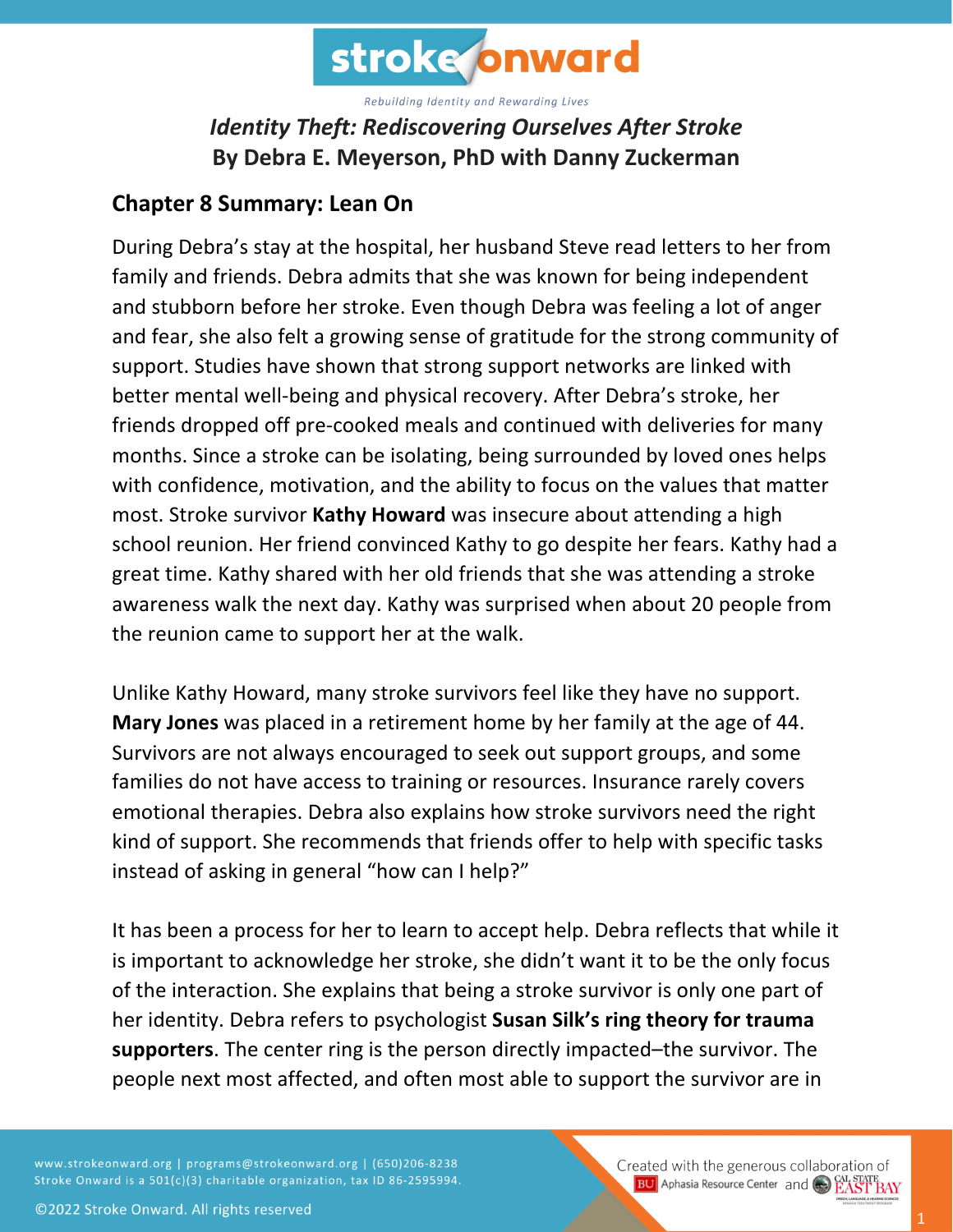

## *Identity Theft: Rediscovering Ourselves After Stroke* **By Debra E. Meyerson, PhD with Danny Zuckerman**

## **Chapter 8 Summary: Lean On**

During Debra's stay at the hospital, her husband Steve read letters to her from family and friends. Debra admits that she was known for being independent and stubborn before her stroke. Even though Debra was feeling a lot of anger and fear, she also felt a growing sense of gratitude for the strong community of support. Studies have shown that strong support networks are linked with better mental well-being and physical recovery. After Debra's stroke, her friends dropped off pre-cooked meals and continued with deliveries for many months. Since a stroke can be isolating, being surrounded by loved ones helps with confidence, motivation, and the ability to focus on the values that matter most. Stroke survivor **Kathy Howard** was insecure about attending a high school reunion. Her friend convinced Kathy to go despite her fears. Kathy had a great time. Kathy shared with her old friends that she was attending a stroke awareness walk the next day. Kathy was surprised when about 20 people from the reunion came to support her at the walk.

Unlike Kathy Howard, many stroke survivors feel like they have no support. **Mary Jones** was placed in a retirement home by her family at the age of 44. Survivors are not always encouraged to seek out support groups, and some families do not have access to training or resources. Insurance rarely covers emotional therapies. Debra also explains how stroke survivors need the right kind of support. She recommends that friends offer to help with specific tasks instead of asking in general "how can I help?"

It has been a process for her to learn to accept help. Debra reflects that while it is important to acknowledge her stroke, she didn't want it to be the only focus of the interaction. She explains that being a stroke survivor is only one part of her identity. Debra refers to psychologist **Susan Silk's ring theory for trauma supporters**. The center ring is the person directly impacted–the survivor. The people next most affected, and often most able to support the survivor are in

www.strokeonward.org | programs@strokeonward.org | (650)206-8238 Stroke Onward is a 501(c)(3) charitable organization, tax ID 86-2595994. Created with the generous collaboration of **BU** Aphasia Resource Center and **COL STATE BAY**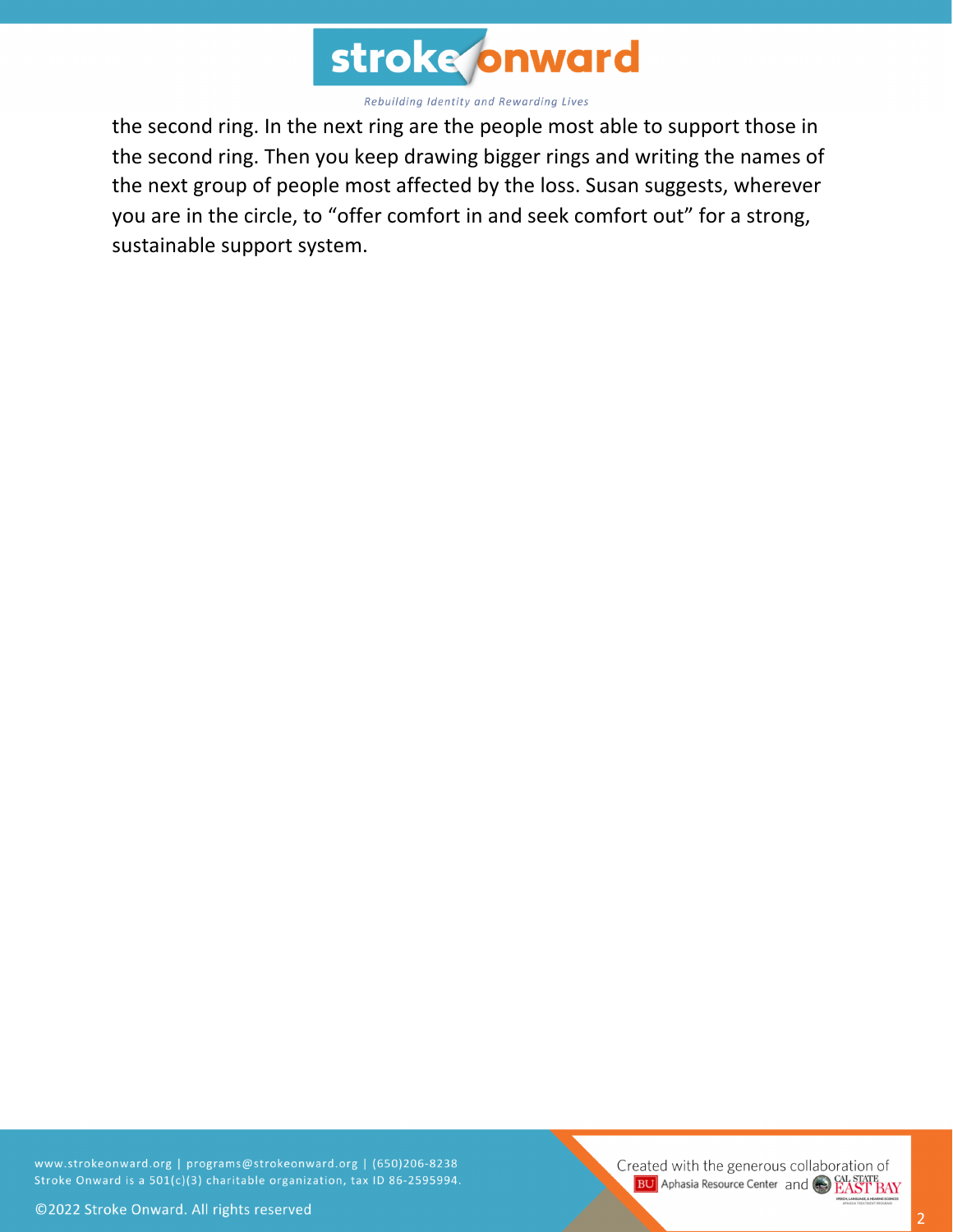

the second ring. In the next ring are the people most able to support those in the second ring. Then you keep drawing bigger rings and writing the names of the next group of people most affected by the loss. Susan suggests, wherever you are in the circle, to "offer comfort in and seek comfort out" for a strong, sustainable support system.

www.strokeonward.org | programs@strokeonward.org | (650)206-8238 Stroke Onward is a 501(c)(3) charitable organization, tax ID 86-2595994.

Created with the generous collaboration of **BU** Aphasia Resource Center and CO EAST BAY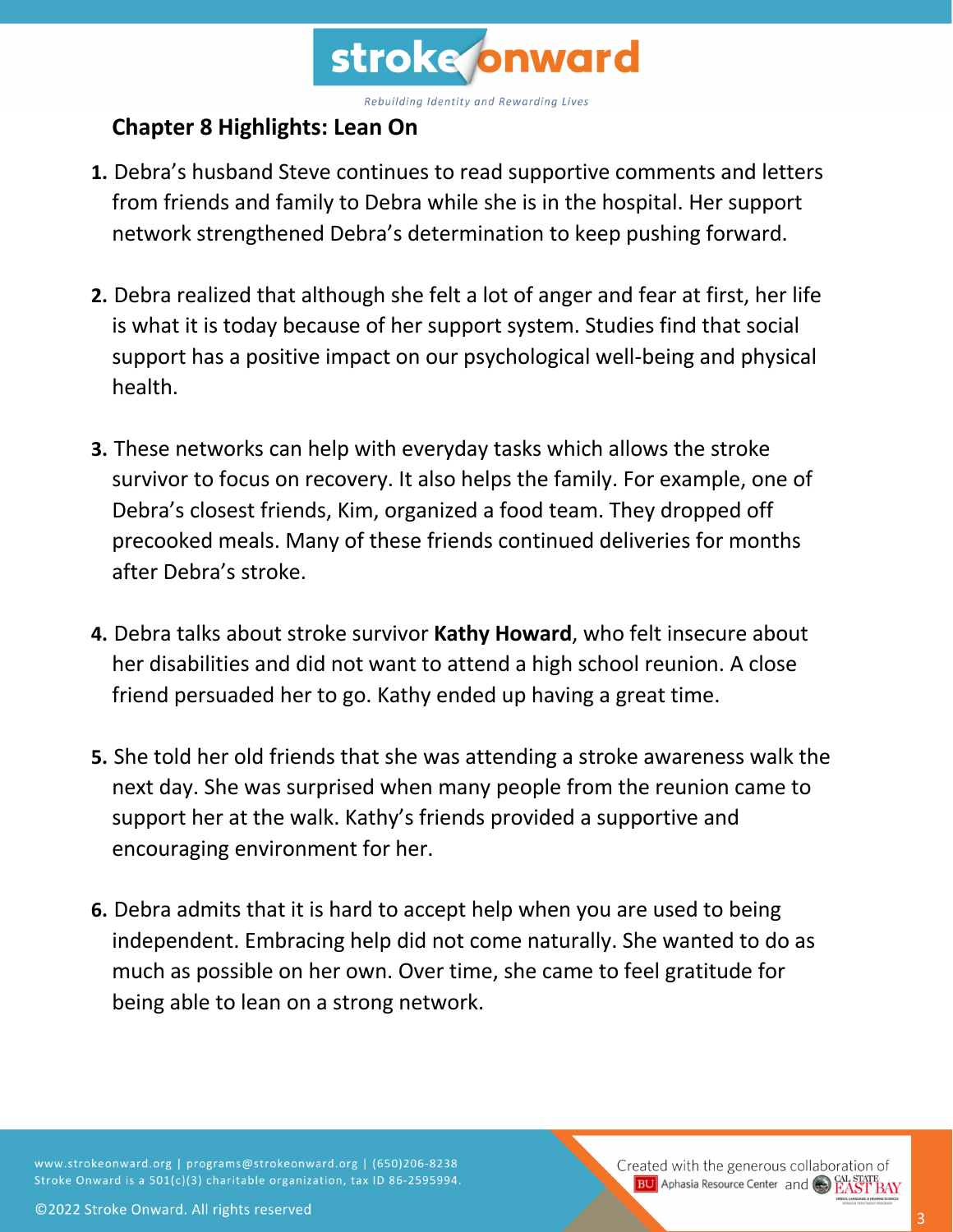

## **Chapter 8 Highlights: Lean On**

- **1.** Debra's husband Steve continues to read supportive comments and letters from friends and family to Debra while she is in the hospital. Her support network strengthened Debra's determination to keep pushing forward.
- **2.** Debra realized that although she felt a lot of anger and fear at first, her life is what it is today because of her support system. Studies find that social support has a positive impact on our psychological well-being and physical health.
- **3.** These networks can help with everyday tasks which allows the stroke survivor to focus on recovery. It also helps the family. For example, one of Debra's closest friends, Kim, organized a food team. They dropped off precooked meals. Many of these friends continued deliveries for months after Debra's stroke.
- **4.** Debra talks about stroke survivor **Kathy Howard**, who felt insecure about her disabilities and did not want to attend a high school reunion. A close friend persuaded her to go. Kathy ended up having a great time.
- **5.** She told her old friends that she was attending a stroke awareness walk the next day. She was surprised when many people from the reunion came to support her at the walk. Kathy's friends provided a supportive and encouraging environment for her.
- **6.** Debra admits that it is hard to accept help when you are used to being independent. Embracing help did not come naturally. She wanted to do as much as possible on her own. Over time, she came to feel gratitude for being able to lean on a strong network.

www.strokeonward.org | programs@strokeonward.org | (650)206-8238 Stroke Onward is a 501(c)(3) charitable organization, tax ID 86-2595994. Created with the generous collaboration of **BU** Aphasia Resource Center and **CAL STATE**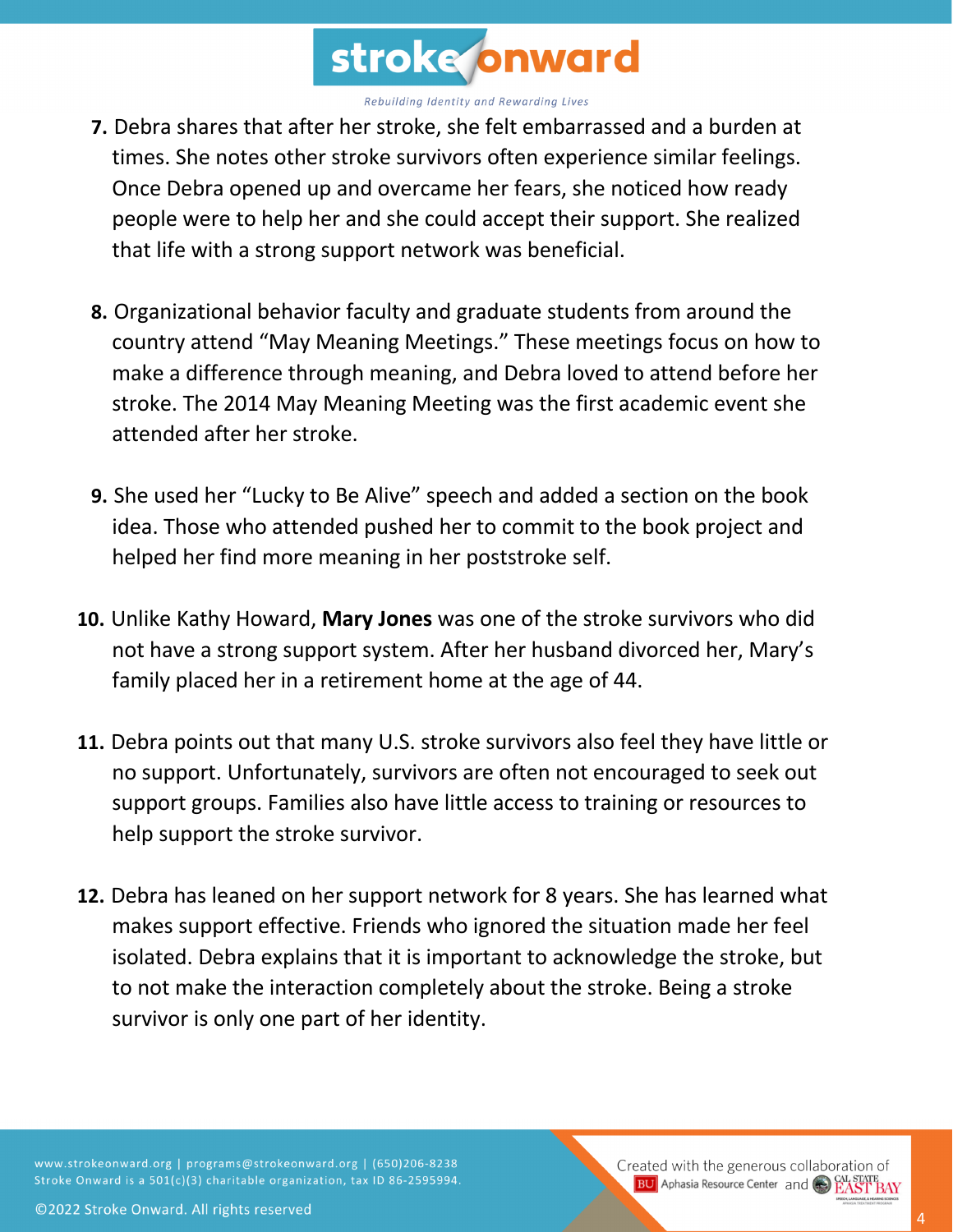

- **7.** Debra shares that after her stroke, she felt embarrassed and a burden at times. She notes other stroke survivors often experience similar feelings. Once Debra opened up and overcame her fears, she noticed how ready people were to help her and she could accept their support. She realized that life with a strong support network was beneficial.
- **8.** Organizational behavior faculty and graduate students from around the country attend "May Meaning Meetings." These meetings focus on how to make a difference through meaning, and Debra loved to attend before her stroke. The 2014 May Meaning Meeting was the first academic event she attended after her stroke.
- **9.** She used her "Lucky to Be Alive" speech and added a section on the book idea. Those who attended pushed her to commit to the book project and helped her find more meaning in her poststroke self.
- **10.** Unlike Kathy Howard, **Mary Jones** was one of the stroke survivors who did not have a strong support system. After her husband divorced her, Mary's family placed her in a retirement home at the age of 44.
- **11.** Debra points out that many U.S. stroke survivors also feel they have little or no support. Unfortunately, survivors are often not encouraged to seek out support groups. Families also have little access to training or resources to help support the stroke survivor.
- **12.** Debra has leaned on her support network for 8 years. She has learned what makes support effective. Friends who ignored the situation made her feel isolated. Debra explains that it is important to acknowledge the stroke, but to not make the interaction completely about the stroke. Being a stroke survivor is only one part of her identity.

www.strokeonward.org | programs@strokeonward.org | (650)206-8238 Stroke Onward is a 501(c)(3) charitable organization, tax ID 86-2595994. Created with the generous collaboration of **BU** Aphasia Resource Center and **CAL STATE**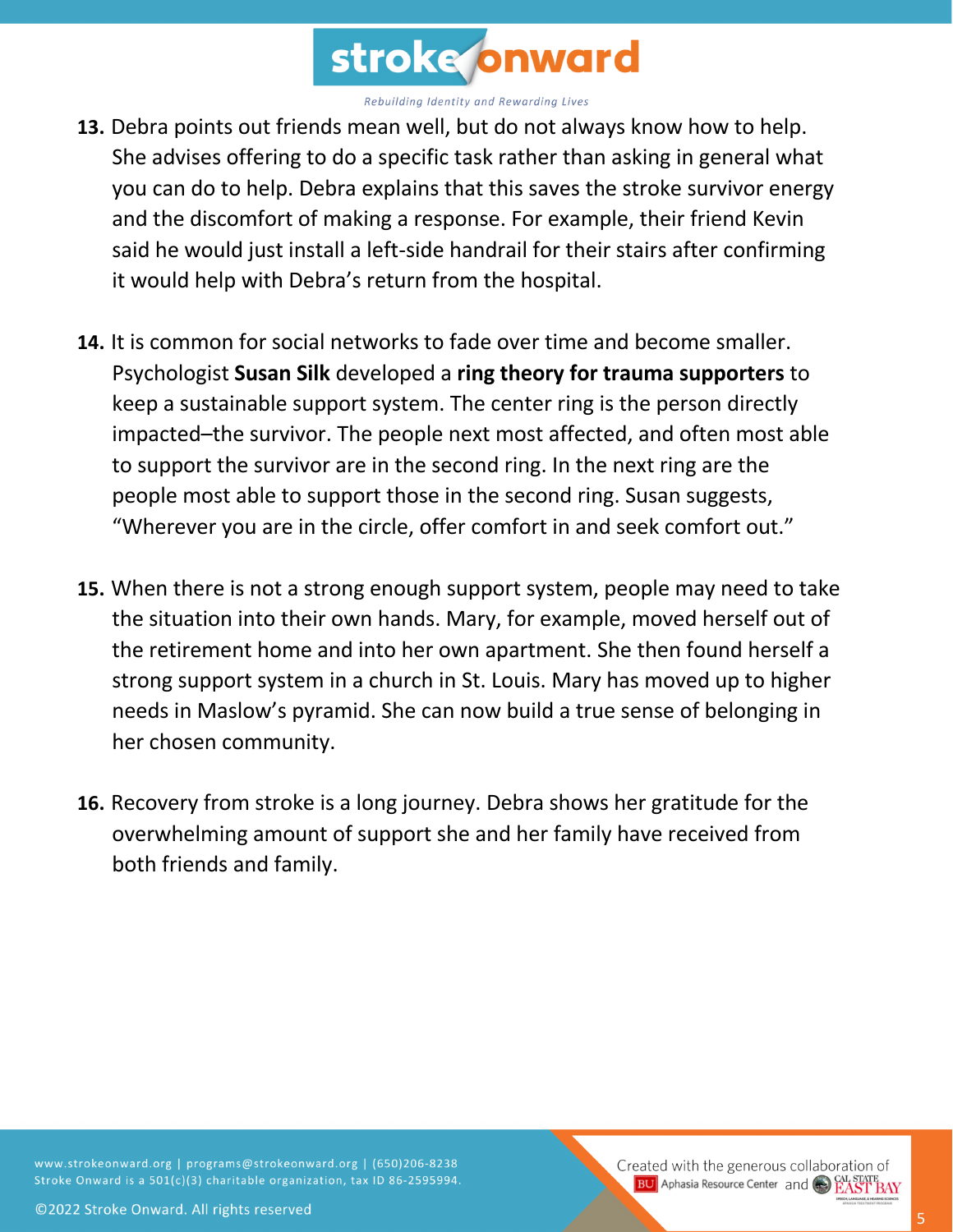

- **13.** Debra points out friends mean well, but do not always know how to help. She advises offering to do a specific task rather than asking in general what you can do to help. Debra explains that this saves the stroke survivor energy and the discomfort of making a response. For example, their friend Kevin said he would just install a left-side handrail for their stairs after confirming it would help with Debra's return from the hospital.
- **14.** It is common for social networks to fade over time and become smaller. Psychologist **Susan Silk** developed a **ring theory for trauma supporters** to keep a sustainable support system. The center ring is the person directly impacted–the survivor. The people next most affected, and often most able to support the survivor are in the second ring. In the next ring are the people most able to support those in the second ring. Susan suggests, "Wherever you are in the circle, offer comfort in and seek comfort out."
- **15.** When there is not a strong enough support system, people may need to take the situation into their own hands. Mary, for example, moved herself out of the retirement home and into her own apartment. She then found herself a strong support system in a church in St. Louis. Mary has moved up to higher needs in Maslow's pyramid. She can now build a true sense of belonging in her chosen community.
- **16.** Recovery from stroke is a long journey. Debra shows her gratitude for the overwhelming amount of support she and her family have received from both friends and family.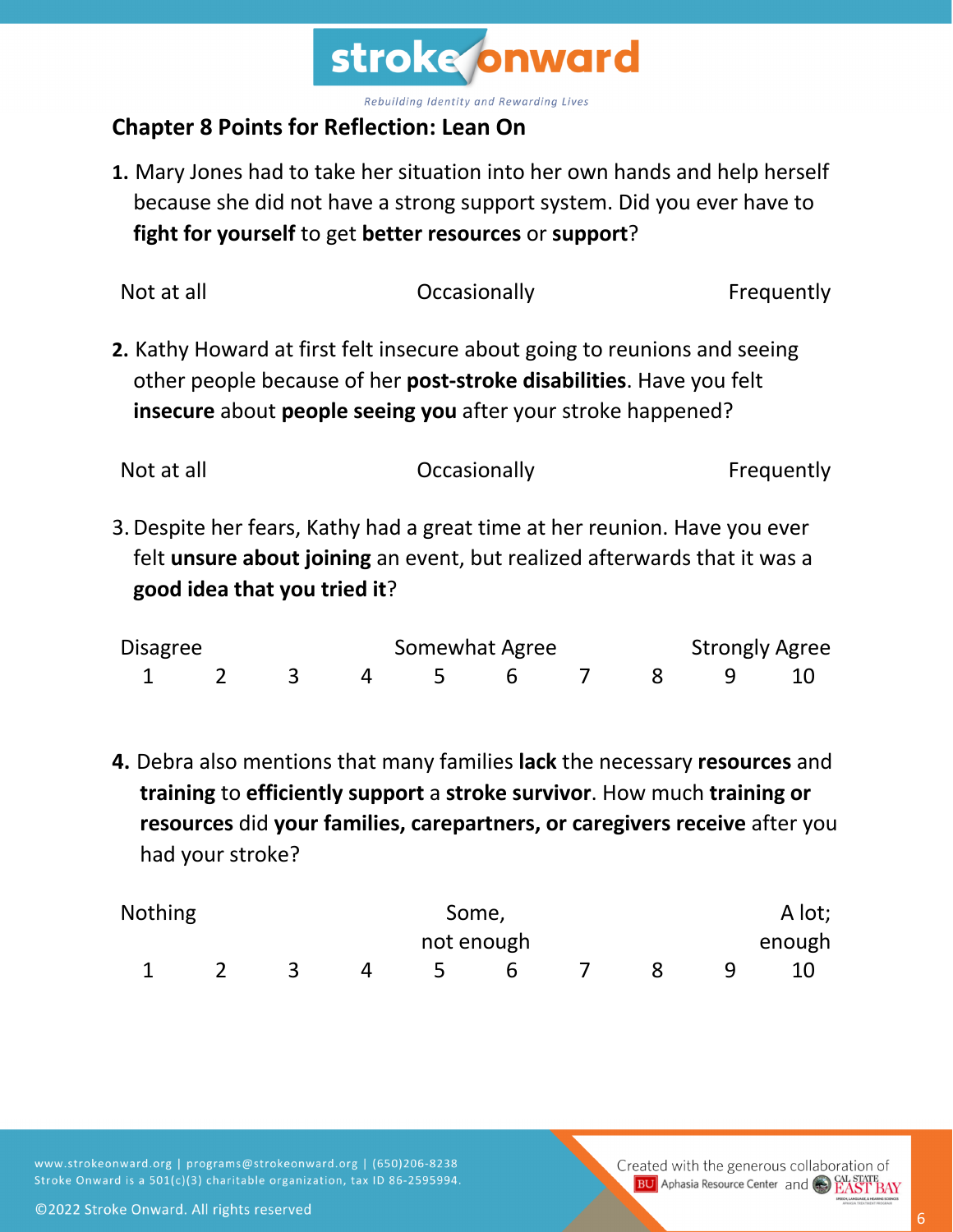

## **Chapter 8 Points for Reflection: Lean On**

**1.** Mary Jones had to take her situation into her own hands and help herself because she did not have a strong support system. Did you ever have to **fight for yourself** to get **better resources** or **support**?

| Not at all | Occasionally                                                                                                                                                                                                             | Frequently |
|------------|--------------------------------------------------------------------------------------------------------------------------------------------------------------------------------------------------------------------------|------------|
|            | 2. Kathy Howard at first felt insecure about going to reunions and seeing<br>other people because of her <b>post-stroke disabilities</b> . Have you felt<br>insecure about people seeing you after your stroke happened? |            |
| Not at all | Occasionally                                                                                                                                                                                                             | Frequently |

3.Despite her fears, Kathy had a great time at her reunion. Have you ever felt **unsure about joining** an event, but realized afterwards that it was a **good idea that you tried it**?

| <b>Disagree</b> |  |  | Somewhat Agree       |  |  |  | <b>Strongly Agree</b> |  |  |  |
|-----------------|--|--|----------------------|--|--|--|-----------------------|--|--|--|
|                 |  |  | 1 2 3 4 5 6 7 8 9 10 |  |  |  |                       |  |  |  |

**4.** Debra also mentions that many families **lack** the necessary **resources** and **training** to **efficiently support** a **stroke survivor**. How much **training or resources** did **your families, carepartners, or caregivers receive** after you had your stroke?

| <b>Nothing</b> | Some, |  |  |            |  |  | A lot; |        |  |
|----------------|-------|--|--|------------|--|--|--------|--------|--|
|                |       |  |  | not enough |  |  |        | enough |  |
|                |       |  |  |            |  |  |        |        |  |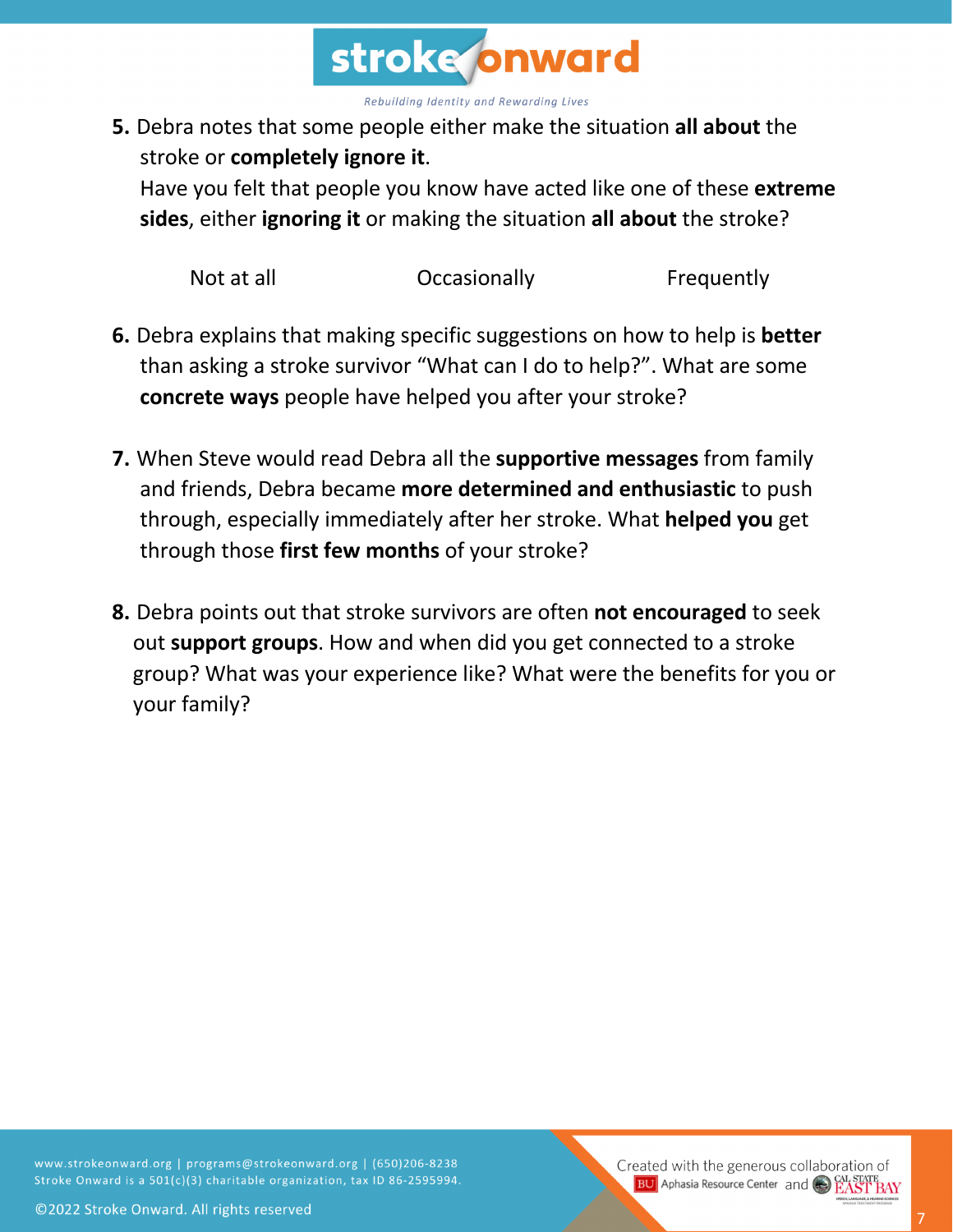

**5.** Debra notes that some people either make the situation **all about** the stroke or **completely ignore it**.

Have you felt that people you know have acted like one of these **extreme sides**, either **ignoring it** or making the situation **all about** the stroke?

Not at all **C** Occasionally **C** Prequently

- **6.** Debra explains that making specific suggestions on how to help is **better** than asking a stroke survivor "What can I do to help?". What are some **concrete ways** people have helped you after your stroke?
- **7.** When Steve would read Debra all the **supportive messages** from family and friends, Debra became **more determined and enthusiastic** to push through, especially immediately after her stroke. What **helped you** get through those **first few months** of your stroke?
- **8.** Debra points out that stroke survivors are often **not encouraged** to seek out **support groups**. How and when did you get connected to a stroke group? What was your experience like? What were the benefits for you or your family?